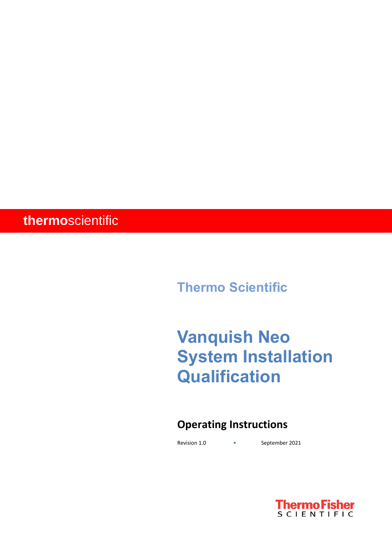# **thermo**scientific

**Thermo Scientific** 

# **Vanquish Neo System Installation Qualification**

# **Operating Instructions**

Revision 1.0 **•** September 2021

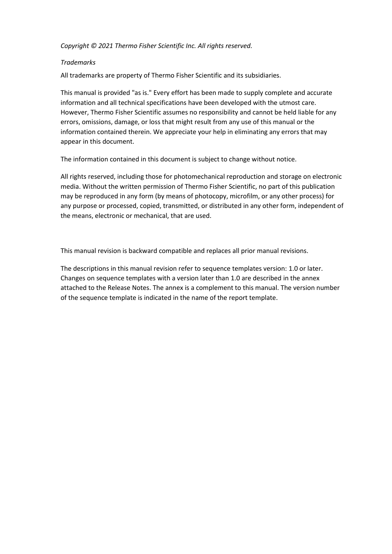*Copyright © 2021 Thermo Fisher Scientific Inc. All rights reserved.*

#### *Trademarks*

All trademarks are property of Thermo Fisher Scientific and its subsidiaries.

This manual is provided "as is." Every effort has been made to supply complete and accurate information and all technical specifications have been developed with the utmost care. However, Thermo Fisher Scientific assumes no responsibility and cannot be held liable for any errors, omissions, damage, or loss that might result from any use of this manual or the information contained therein. We appreciate your help in eliminating any errors that may appear in this document.

The information contained in this document is subject to change without notice.

All rights reserved, including those for photomechanical reproduction and storage on electronic media. Without the written permission of Thermo Fisher Scientific, no part of this publication may be reproduced in any form (by means of photocopy, microfilm, or any other process) for any purpose or processed, copied, transmitted, or distributed in any other form, independent of the means, electronic or mechanical, that are used.

This manual revision is backward compatible and replaces all prior manual revisions.

The descriptions in this manual revision refer to sequence templates version: 1.0 or later. Changes on sequence templates with a version later than 1.0 are described in the annex attached to the Release Notes. The annex is a complement to this manual. The version number of the sequence template is indicated in the name of the report template.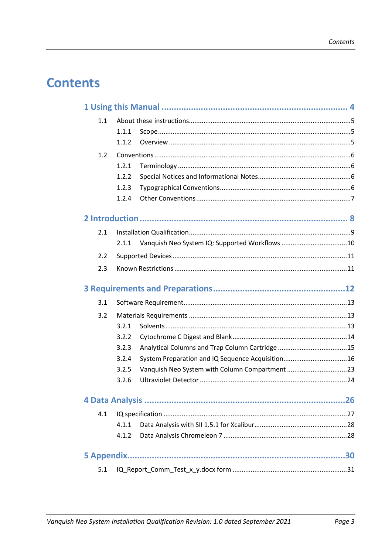# **Contents**

| 1.1 |       |                                                  |  |
|-----|-------|--------------------------------------------------|--|
|     | 1.1.1 |                                                  |  |
|     | 1.1.2 |                                                  |  |
| 1.2 |       |                                                  |  |
|     | 1.2.1 |                                                  |  |
|     | 1.2.2 |                                                  |  |
|     | 1.2.3 |                                                  |  |
|     | 1.2.4 |                                                  |  |
|     |       |                                                  |  |
| 2.1 |       |                                                  |  |
|     | 2.1.1 |                                                  |  |
| 2.2 |       |                                                  |  |
| 2.3 |       |                                                  |  |
|     |       |                                                  |  |
| 3.1 |       |                                                  |  |
| 3.2 |       |                                                  |  |
|     | 3.2.1 |                                                  |  |
|     | 3.2.2 |                                                  |  |
|     | 3.2.3 |                                                  |  |
|     | 3.2.4 | System Preparation and IQ Sequence Acquisition16 |  |
|     | 3.2.5 |                                                  |  |
|     | 3.2.6 |                                                  |  |
|     |       |                                                  |  |
| 4.1 |       |                                                  |  |
|     | 4.1.1 |                                                  |  |
|     | 4.1.2 |                                                  |  |
|     |       |                                                  |  |
| 5.1 |       |                                                  |  |
|     |       |                                                  |  |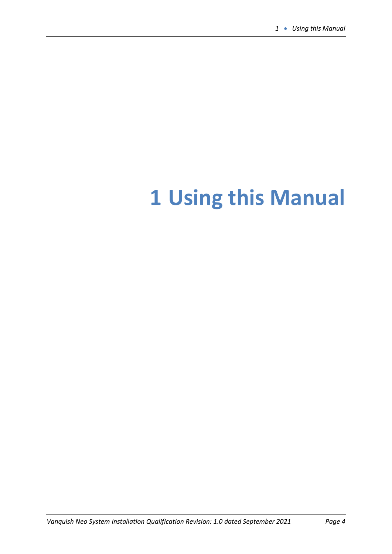# <span id="page-3-0"></span>**Using this Manual**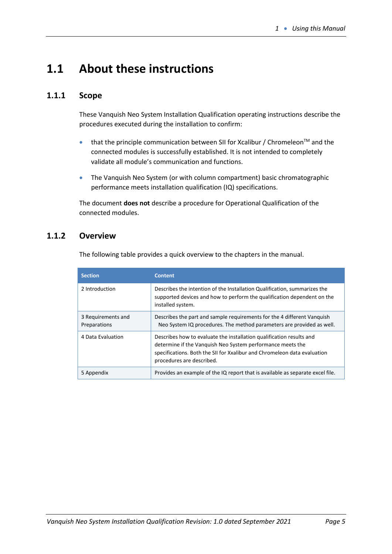# <span id="page-4-0"></span>**1.1 About these instructions**

## <span id="page-4-1"></span>**1.1.1 Scope**

These Vanquish Neo System Installation Qualification operating instructions describe the procedures executed during the installation to confirm:

- that the principle communication between SII for Xcalibur / Chromeleon<sup>TM</sup> and the connected modules is successfully established. It is not intended to completely validate all module's communication and functions.
- The Vanquish Neo System (or with column compartment) basic chromatographic performance meets installation qualification (IQ) specifications.

The document **does not** describe a procedure for Operational Qualification of the connected modules.

## <span id="page-4-2"></span>**1.1.2 Overview**

The following table provides a quick overview to the chapters in the manual.

| <b>Section</b>                     | <b>Content</b>                                                                                                                                                                                                                              |
|------------------------------------|---------------------------------------------------------------------------------------------------------------------------------------------------------------------------------------------------------------------------------------------|
| 2 Introduction                     | Describes the intention of the Installation Qualification, summarizes the<br>supported devices and how to perform the qualification dependent on the<br>installed system.                                                                   |
| 3 Requirements and<br>Preparations | Describes the part and sample requirements for the 4 different Vanguish<br>Neo System IQ procedures. The method parameters are provided as well.                                                                                            |
| 4 Data Evaluation                  | Describes how to evaluate the installation qualification results and<br>determine if the Vanguish Neo System performance meets the<br>specifications. Both the SII for Xxalibur and Chromeleon data evaluation<br>procedures are described. |
| 5 Appendix                         | Provides an example of the IQ report that is available as separate excel file.                                                                                                                                                              |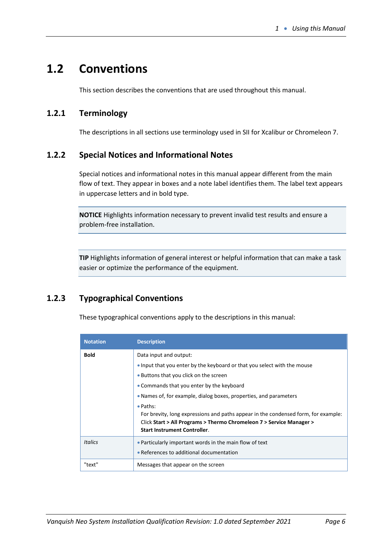# <span id="page-5-0"></span>**1.2 Conventions**

This section describes the conventions that are used throughout this manual.

## <span id="page-5-1"></span>**1.2.1 Terminology**

The descriptions in all sections use terminology used in SII for Xcalibur or Chromeleon 7.

## <span id="page-5-2"></span>**1.2.2 Special Notices and Informational Notes**

Special notices and informational notes in this manual appear different from the main flow of text. They appear in boxes and a note label identifies them. The label text appears in uppercase letters and in bold type.

**NOTICE** Highlights information necessary to prevent invalid test results and ensure a problem-free installation.

**TIP** Highlights information of general interest or helpful information that can make a task easier or optimize the performance of the equipment.

# <span id="page-5-3"></span>**1.2.3 Typographical Conventions**

These typographical conventions apply to the descriptions in this manual:

| <b>Notation</b> | <b>Description</b>                                                                                                                                                                                            |
|-----------------|---------------------------------------------------------------------------------------------------------------------------------------------------------------------------------------------------------------|
| <b>Bold</b>     | Data input and output:                                                                                                                                                                                        |
|                 | • Input that you enter by the keyboard or that you select with the mouse                                                                                                                                      |
|                 | • Buttons that you click on the screen                                                                                                                                                                        |
|                 | • Commands that you enter by the keyboard                                                                                                                                                                     |
|                 | • Names of, for example, dialog boxes, properties, and parameters                                                                                                                                             |
|                 | • Paths:<br>For brevity, long expressions and paths appear in the condensed form, for example:<br>Click Start > All Programs > Thermo Chromeleon 7 > Service Manager ><br><b>Start Instrument Controller.</b> |
| <b>Italics</b>  | • Particularly important words in the main flow of text<br>• References to additional documentation                                                                                                           |
| "text"          | Messages that appear on the screen                                                                                                                                                                            |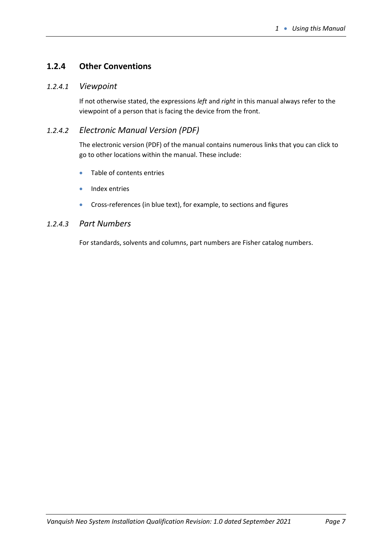# <span id="page-6-0"></span>**1.2.4 Other Conventions**

## *1.2.4.1 Viewpoint*

If not otherwise stated, the expressions *left* and *right* in this manual always refer to the viewpoint of a person that is facing the device from the front.

## *1.2.4.2 Electronic Manual Version (PDF)*

The electronic version (PDF) of the manual contains numerous links that you can click to go to other locations within the manual. These include:

- Table of contents entries
- Index entries
- Cross-references (in blue text), for example, to sections and figures

## *1.2.4.3 Part Numbers*

For standards, solvents and columns, part numbers are Fisher catalog numbers.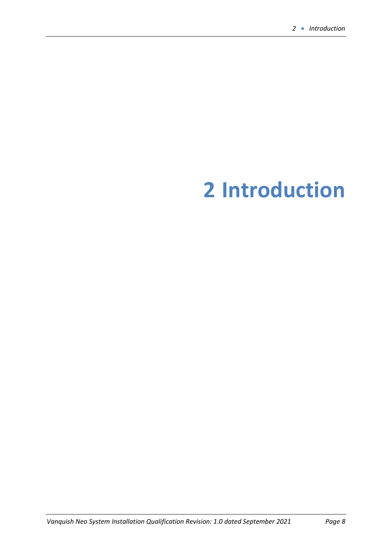# <span id="page-7-0"></span>**Introduction**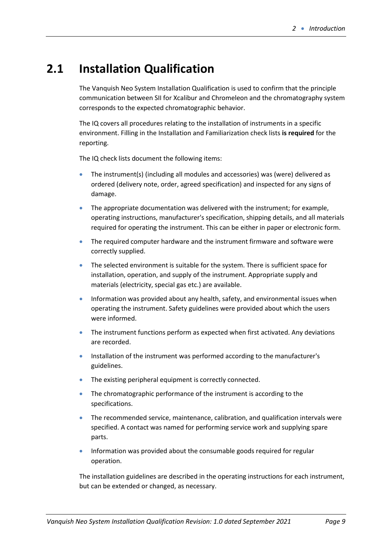# <span id="page-8-0"></span>**2.1 Installation Qualification**

The Vanquish Neo System Installation Qualification is used to confirm that the principle communication between SII for Xcalibur and Chromeleon and the chromatography system corresponds to the expected chromatographic behavior.

The IQ covers all procedures relating to the installation of instruments in a specific environment. Filling in the Installation and Familiarization check lists **is required** for the reporting.

The IQ check lists document the following items:

- The instrument(s) (including all modules and accessories) was (were) delivered as ordered (delivery note, order, agreed specification) and inspected for any signs of damage.
- The appropriate documentation was delivered with the instrument; for example, operating instructions, manufacturer's specification, shipping details, and all materials required for operating the instrument. This can be either in paper or electronic form.
- The required computer hardware and the instrument firmware and software were correctly supplied.
- The selected environment is suitable for the system. There is sufficient space for installation, operation, and supply of the instrument. Appropriate supply and materials (electricity, special gas etc.) are available.
- Information was provided about any health, safety, and environmental issues when operating the instrument. Safety guidelines were provided about which the users were informed.
- The instrument functions perform as expected when first activated. Any deviations are recorded.
- Installation of the instrument was performed according to the manufacturer's guidelines.
- The existing peripheral equipment is correctly connected.
- The chromatographic performance of the instrument is according to the specifications.
- The recommended service, maintenance, calibration, and qualification intervals were specified. A contact was named for performing service work and supplying spare parts.
- Information was provided about the consumable goods required for regular operation.

The installation guidelines are described in the operating instructions for each instrument, but can be extended or changed, as necessary.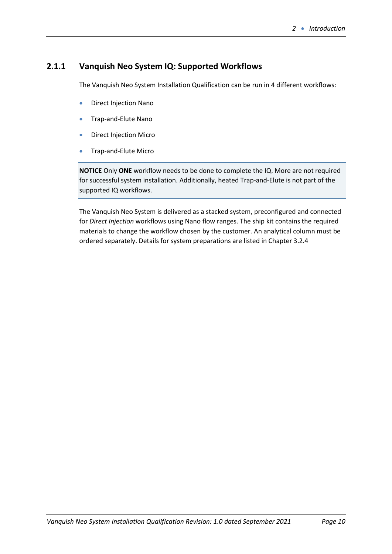## <span id="page-9-0"></span>**2.1.1 Vanquish Neo System IQ: Supported Workflows**

The Vanquish Neo System Installation Qualification can be run in 4 different workflows:

- Direct Injection Nano
- Trap-and-Elute Nano
- Direct Injection Micro
- Trap-and-Elute Micro

**NOTICE** Only **ONE** workflow needs to be done to complete the IQ. More are not required for successful system installation. Additionally, heated Trap-and-Elute is not part of the supported IQ workflows.

The Vanquish Neo System is delivered as a stacked system, preconfigured and connected for *Direct Injection* workflows using Nano flow ranges. The ship kit contains the required materials to change the workflow chosen by the customer. An analytical column must be ordered separately. Details for system preparations are listed in Chapter 3.2.4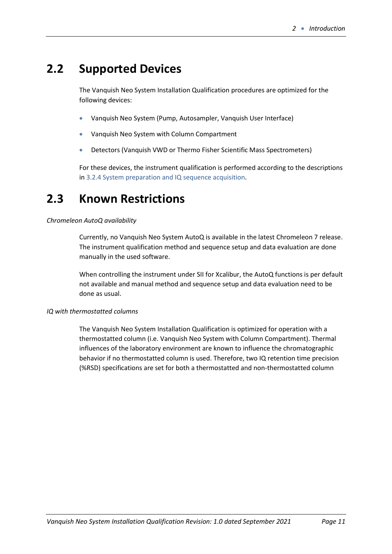# <span id="page-10-0"></span>**2.2 Supported Devices**

The Vanquish Neo System Installation Qualification procedures are optimized for the following devices:

- Vanquish Neo System (Pump, Autosampler, Vanquish User Interface)
- Vanquish Neo System with Column Compartment
- Detectors (Vanquish VWD or Thermo Fisher Scientific Mass Spectrometers)

For these devices, the instrument qualification is performed according to the descriptions in 3.2.4 System preparation and IQ sequence acquisition.

# <span id="page-10-1"></span>**2.3 Known Restrictions**

#### *Chromeleon AutoQ availability*

Currently, no Vanquish Neo System AutoQ is available in the latest Chromeleon 7 release. The instrument qualification method and sequence setup and data evaluation are done manually in the used software.

When controlling the instrument under SII for Xcalibur, the AutoQ functions is per default not available and manual method and sequence setup and data evaluation need to be done as usual.

#### *IQ with thermostatted columns*

The Vanquish Neo System Installation Qualification is optimized for operation with a thermostatted column (i.e. Vanquish Neo System with Column Compartment). Thermal influences of the laboratory environment are known to influence the chromatographic behavior if no thermostatted column is used. Therefore, two IQ retention time precision (%RSD) specifications are set for both a thermostatted and non-thermostatted column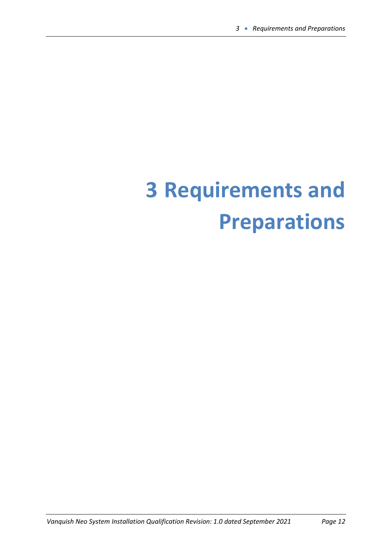# <span id="page-11-0"></span>**3 Requirements and Preparations**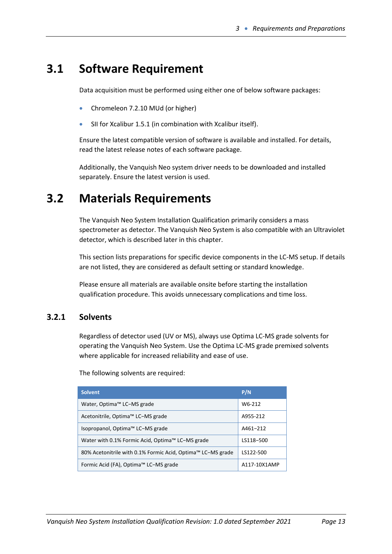# <span id="page-12-0"></span>**3.1 Software Requirement**

Data acquisition must be performed using either one of below software packages:

- Chromeleon 7.2.10 MUd (or higher)
- SII for Xcalibur 1.5.1 (in combination with Xcalibur itself).

Ensure the latest compatible version of software is available and installed. For details, read the latest release notes of each software package.

Additionally, the Vanquish Neo system driver needs to be downloaded and installed separately. Ensure the latest version is used.

# <span id="page-12-1"></span>**3.2 Materials Requirements**

The Vanquish Neo System Installation Qualification primarily considers a mass spectrometer as detector. The Vanquish Neo System is also compatible with an Ultraviolet detector, which is described later in this chapter.

This section lists preparations for specific device components in the LC-MS setup. If details are not listed, they are considered as default setting or standard knowledge.

Please ensure all materials are available onsite before starting the installation qualification procedure. This avoids unnecessary complications and time loss.

## <span id="page-12-2"></span>**3.2.1 Solvents**

Regardless of detector used (UV or MS), always use Optima LC-MS grade solvents for operating the Vanquish Neo System. Use the Optima LC-MS grade premixed solvents where applicable for increased reliability and ease of use.

The following solvents are required:

| <b>Solvent</b>                                              | P/N          |
|-------------------------------------------------------------|--------------|
| Water, Optima™ LC-MS grade                                  | W6-212       |
| Acetonitrile, Optima™ LC-MS grade                           | A955-212     |
| Isopropanol, Optima™ LC-MS grade                            | A461-212     |
| Water with 0.1% Formic Acid, Optima™ LC-MS grade            | LS118-500    |
| 80% Acetonitrile with 0.1% Formic Acid, Optima™ LC-MS grade | LS122-500    |
| Formic Acid (FA), Optima™ LC-MS grade                       | A117-10X1AMP |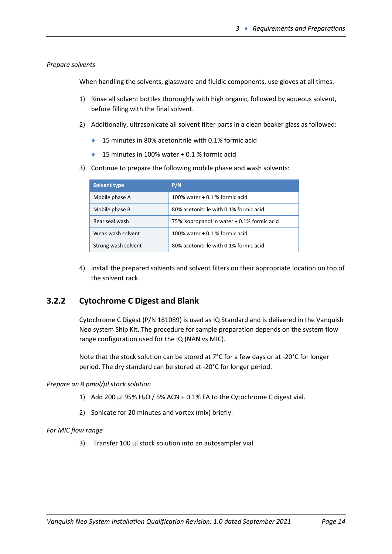#### *Prepare solvents*

When handling the solvents, glassware and fluidic components, use gloves at all times.

- 1) Rinse all solvent bottles thoroughly with high organic, followed by aqueous solvent, before filling with the final solvent.
- 2) Additionally, ultrasonicate all solvent filter parts in a clean beaker glass as followed:
	- ◆ 15 minutes in 80% acetonitrile with 0.1% formic acid
	- ◆ 15 minutes in 100% water + 0.1 % formic acid
- 3) Continue to prepare the following mobile phase and wash solvents:

| <b>Solvent type</b> | P/N                                         |
|---------------------|---------------------------------------------|
| Mobile phase A      | 100% water $+0.1$ % formic acid             |
| Mobile phase B      | 80% acetonitrile with 0.1% formic acid      |
| Rear seal wash      | 75% isopropanol in water + 0.1% formic acid |
| Weak wash solvent   | 100% water $+0.1$ % formic acid             |
| Strong wash solvent | 80% acetonitrile with 0.1% formic acid      |

4) Install the prepared solvents and solvent filters on their appropriate location on top of the solvent rack.

## <span id="page-13-0"></span>**3.2.2 Cytochrome C Digest and Blank**

Cytochrome C Digest (P/N 161089) is used as IQ Standard and is delivered in the Vanquish Neo system Ship Kit. The procedure for sample preparation depends on the system flow range configuration used for the IQ (NAN vs MIC).

Note that the stock solution can be stored at 7°C for a few days or at -20°C for longer period. The dry standard can be stored at -20°C for longer period.

#### *Prepare an 8 pmol/µl stock solution*

- 1) Add 200  $\mu$ l 95% H<sub>2</sub>O / 5% ACN + 0.1% FA to the Cytochrome C digest vial.
- 2) Sonicate for 20 minutes and vortex (mix) briefly.

#### *For MIC flow range*

3) Transfer 100 µl stock solution into an autosampler vial.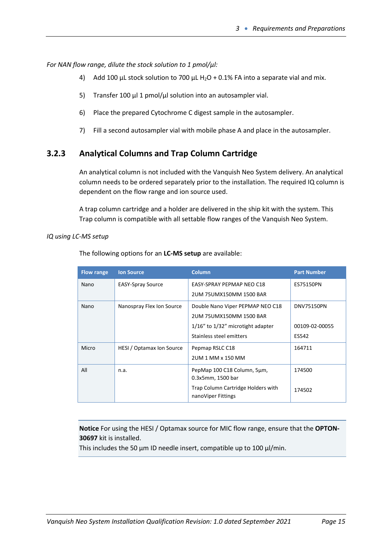*For NAN flow range, dilute the stock solution to 1 pmol/µl:*

- 4) Add 100 µL stock solution to 700 µL H<sub>2</sub>O + 0.1% FA into a separate vial and mix.
- 5) Transfer 100  $\mu$ l 1 pmol/ $\mu$ l solution into an autosampler vial.
- 6) Place the prepared Cytochrome C digest sample in the autosampler.
- 7) Fill a second autosampler vial with mobile phase A and place in the autosampler.

## <span id="page-14-0"></span>**3.2.3 Analytical Columns and Trap Column Cartridge**

An analytical column is not included with the Vanquish Neo System delivery. An analytical column needs to be ordered separately prior to the installation. The required IQ column is dependent on the flow range and ion source used.

A trap column cartridge and a holder are delivered in the ship kit with the system. This Trap column is compatible with all settable flow ranges of the Vanquish Neo System.

#### *IQ using LC-MS setup*

| <b>Flow range</b> | <b>Ion Source</b>         | <b>Column</b>                                            | <b>Part Number</b> |
|-------------------|---------------------------|----------------------------------------------------------|--------------------|
| Nano              | <b>EASY-Spray Source</b>  | EASY-SPRAY PEPMAP NEO C18                                | ES75150PN          |
|                   |                           | 2UM 75UMX150MM 1500 BAR                                  |                    |
| Nano              | Nanospray Flex Ion Source | Double Nano Viper PEPMAP NEO C18                         | DNV75150PN         |
|                   |                           | 2UM 75UMX150MM 1500 BAR                                  |                    |
|                   |                           | $1/16$ " to $1/32$ " microtight adapter                  | 00109-02-00055     |
|                   |                           | Stainless steel emitters                                 | ES542              |
| Micro             | HESI / Optamax Ion Source | Pepmap RSLC C18                                          | 164711             |
|                   |                           | 2UM 1 MM x 150 MM                                        |                    |
| All               | n.a.                      | PepMap 100 C18 Column, 5µm,<br>0.3x5mm, 1500 bar         | 174500             |
|                   |                           |                                                          |                    |
|                   |                           | Trap Column Cartridge Holders with<br>nanoViper Fittings | 174502             |

The following options for an **LC-MS setup** are available:

**Notice** For using the HESI / Optamax source for MIC flow range, ensure that the **OPTON-30697** kit is installed.

This includes the 50  $\mu$ m ID needle insert, compatible up to 100  $\mu$ I/min.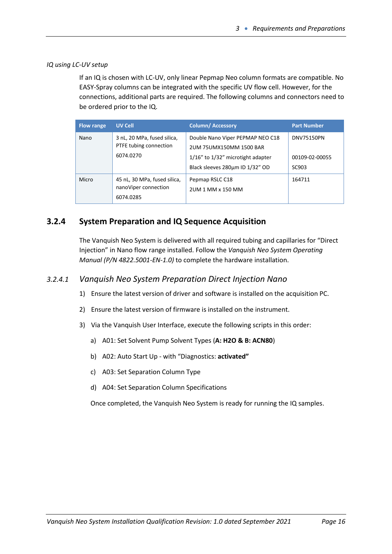#### *IQ using LC-UV setup*

If an IQ is chosen with LC-UV, only linear Pepmap Neo column formats are compatible. No EASY-Spray columns can be integrated with the specific UV flow cell. However, for the connections, additional parts are required. The following columns and connectors need to be ordered prior to the IQ.

| <b>Flow range</b> | UV Cell                                                            | <b>Column/Accessory</b>                                                                                                                   | <b>Part Number</b>                           |
|-------------------|--------------------------------------------------------------------|-------------------------------------------------------------------------------------------------------------------------------------------|----------------------------------------------|
| Nano              | 3 nL, 20 MPa, fused silica,<br>PTFE tubing connection<br>6074.0270 | Double Nano Viper PEPMAP NEO C18<br>2UM 75UMX150MM 1500 BAR<br>$1/16$ " to $1/32$ " microtight adapter<br>Black sleeves 280um ID 1/32" OD | <b>DNV75150PN</b><br>00109-02-00055<br>SC903 |
| Micro             | 45 nL, 30 MPa, fused silica,<br>nanoViper connection<br>6074.0285  | Pepmap RSLC C18<br>2UM 1 MM x 150 MM                                                                                                      | 164711                                       |

## <span id="page-15-0"></span>**3.2.4 System Preparation and IQ Sequence Acquisition**

The Vanquish Neo System is delivered with all required tubing and capillaries for "Direct Injection" in Nano flow range installed. Follow the *Vanquish Neo System Operating Manual (P/N 4822.5001-EN-1.0)* to complete the hardware installation.

### *3.2.4.1 Vanquish Neo System Preparation Direct Injection Nano*

- 1) Ensure the latest version of driver and software is installed on the acquisition PC.
- 2) Ensure the latest version of firmware is installed on the instrument.
- 3) Via the Vanquish User Interface, execute the following scripts in this order:
	- a) A01: Set Solvent Pump Solvent Types (**A: H2O & B: ACN80**)
	- b) A02: Auto Start Up with "Diagnostics: **activated"**
	- c) A03: Set Separation Column Type
	- d) A04: Set Separation Column Specifications

Once completed, the Vanquish Neo System is ready for running the IQ samples.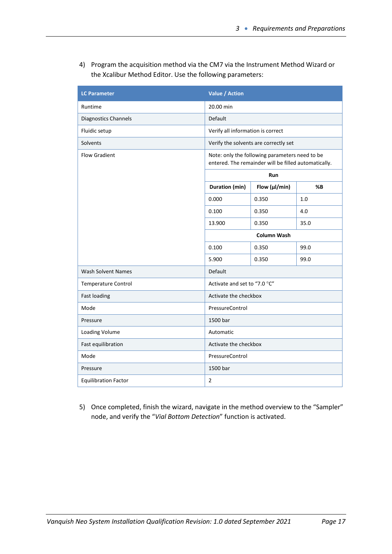4) Program the acquisition method via the CM7 via the Instrument Method Wizard or the Xcalibur Method Editor. Use the following parameters:

| <b>LC Parameter</b>         | <b>Value / Action</b>             |                                                                                                        |      |
|-----------------------------|-----------------------------------|--------------------------------------------------------------------------------------------------------|------|
| Runtime                     | 20.00 min                         |                                                                                                        |      |
| <b>Diagnostics Channels</b> | Default                           |                                                                                                        |      |
| Fluidic setup               | Verify all information is correct |                                                                                                        |      |
| Solvents                    |                                   | Verify the solvents are correctly set                                                                  |      |
| <b>Flow Gradient</b>        |                                   | Note: only the following parameters need to be<br>entered. The remainder will be filled automatically. |      |
|                             |                                   | Run                                                                                                    |      |
|                             | Duration (min)                    | Flow (µl/min)                                                                                          | %B   |
|                             | 0.000                             | 0.350                                                                                                  | 1.0  |
|                             | 0.100                             | 0.350                                                                                                  | 4.0  |
|                             | 13.900                            | 0.350                                                                                                  | 35.0 |
|                             | <b>Column Wash</b>                |                                                                                                        |      |
|                             | 0.100                             | 0.350                                                                                                  | 99.0 |
|                             | 5.900                             | 0.350                                                                                                  | 99.0 |
| <b>Wash Solvent Names</b>   | <b>Default</b>                    |                                                                                                        |      |
| Temperature Control         | Activate and set to "7.0 °C"      |                                                                                                        |      |
| <b>Fast loading</b>         | Activate the checkbox             |                                                                                                        |      |
| Mode                        | PressureControl                   |                                                                                                        |      |
| Pressure                    | 1500 bar                          |                                                                                                        |      |
| <b>Loading Volume</b>       | Automatic                         |                                                                                                        |      |
| Fast equilibration          | Activate the checkbox             |                                                                                                        |      |
| Mode                        | PressureControl                   |                                                                                                        |      |
| Pressure                    | 1500 bar                          |                                                                                                        |      |
| <b>Equilibration Factor</b> | $\overline{2}$                    |                                                                                                        |      |

5) Once completed, finish the wizard, navigate in the method overview to the "Sampler" node, and verify the "*Vial Bottom Detection*" function is activated.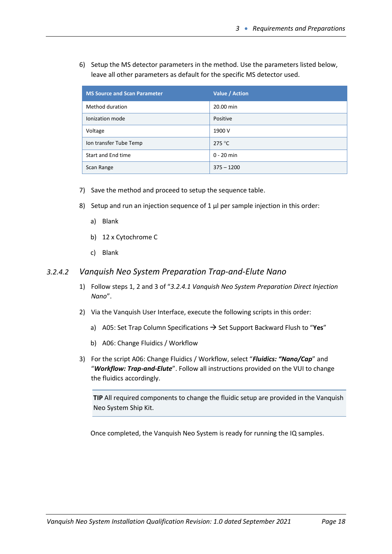6) Setup the MS detector parameters in the method. Use the parameters listed below, leave all other parameters as default for the specific MS detector used.

| <b>MS Source and Scan Parameter</b> | Value / Action  |
|-------------------------------------|-----------------|
| Method duration                     | 20.00 min       |
| Ionization mode                     | Positive        |
| Voltage                             | 1900 V          |
| Ion transfer Tube Temp              | 275 $\degree$ C |
| Start and End time                  | $0 - 20$ min    |
| Scan Range                          | $375 - 1200$    |

- 7) Save the method and proceed to setup the sequence table.
- 8) Setup and run an injection sequence of 1  $\mu$  per sample injection in this order:
	- a) Blank
	- b) 12 x Cytochrome C
	- c) Blank

#### *3.2.4.2 Vanquish Neo System Preparation Trap-and-Elute Nano*

- 1) Follow steps 1, 2 and 3 of "*3.2.4.1 Vanquish Neo System Preparation Direct Injection Nano*".
- 2) Via the Vanquish User Interface, execute the following scripts in this order:
	- a) A05: Set Trap Column Specifications → Set Support Backward Flush to "**Yes**"
	- b) A06: Change Fluidics / Workflow
- 3) For the script A06: Change Fluidics / Workflow, select "*Fluidics: "Nano/Cap*" and "*Workflow: Trap-and-Elute*". Follow all instructions provided on the VUI to change the fluidics accordingly.

**TIP** All required components to change the fluidic setup are provided in the Vanquish Neo System Ship Kit.

Once completed, the Vanquish Neo System is ready for running the IQ samples.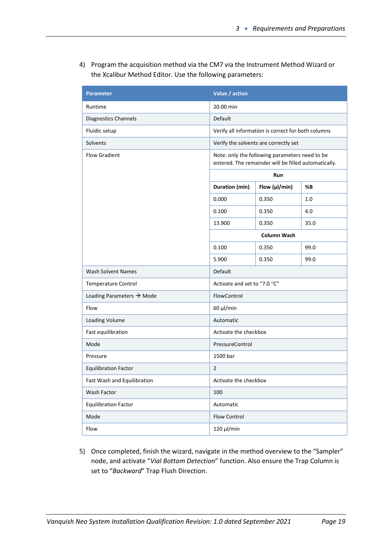4) Program the acquisition method via the CM7 via the Instrument Method Wizard or the Xcalibur Method Editor. Use the following parameters:

| <b>Parameter</b>                      | Value / action                                                                                         |                                                    |      |
|---------------------------------------|--------------------------------------------------------------------------------------------------------|----------------------------------------------------|------|
| Runtime                               | 20.00 min                                                                                              |                                                    |      |
| Diagnostics Channels                  | Default                                                                                                |                                                    |      |
| Fluidic setup                         |                                                                                                        | Verify all information is correct for both columns |      |
| Solvents                              |                                                                                                        | Verify the solvents are correctly set              |      |
| <b>Flow Gradient</b>                  | Note: only the following parameters need to be<br>entered. The remainder will be filled automatically. |                                                    |      |
|                                       |                                                                                                        | Run                                                |      |
|                                       | Duration (min)                                                                                         | Flow (µl/min)                                      | %В   |
|                                       | 0.000                                                                                                  | 0.350                                              | 1.0  |
|                                       | 0.100                                                                                                  | 0.350                                              | 4.0  |
|                                       | 13.900                                                                                                 | 0.350                                              | 35.0 |
|                                       | Column Wash                                                                                            |                                                    |      |
|                                       | 0.100                                                                                                  | 0.350                                              | 99.0 |
|                                       | 5.900                                                                                                  | 0.350                                              | 99.0 |
| <b>Wash Solvent Names</b>             | Default                                                                                                |                                                    |      |
| <b>Temperature Control</b>            | Activate and set to "7.0 °C"                                                                           |                                                    |      |
| Loading Parameters $\rightarrow$ Mode | FlowControl                                                                                            |                                                    |      |
| Flow                                  | $60 \mu$ /min                                                                                          |                                                    |      |
| Loading Volume                        | Automatic                                                                                              |                                                    |      |
| Fast equilibration                    | Activate the checkbox                                                                                  |                                                    |      |
| Mode                                  | PressureControl                                                                                        |                                                    |      |
| Pressure                              | 1500 bar                                                                                               |                                                    |      |
| <b>Equilibration Factor</b>           | $\overline{2}$                                                                                         |                                                    |      |
| Fast Wash and Equilibration           | Activate the checkbox                                                                                  |                                                    |      |
| Wash Factor                           | 100                                                                                                    |                                                    |      |
| <b>Equilibration Factor</b>           | Automatic                                                                                              |                                                    |      |
| Mode                                  | Flow Control                                                                                           |                                                    |      |
| Flow                                  | 120 μl/min                                                                                             |                                                    |      |

5) Once completed, finish the wizard, navigate in the method overview to the "Sampler" node, and activate "*Vial Bottom Detection*" function. Also ensure the Trap Column is set to "*Backward*" Trap Flush Direction.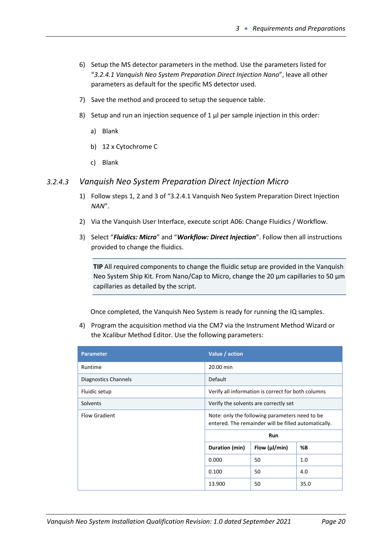- 6) Setup the MS detector parameters in the method. Use the parameters listed for "*3.2.4.1 Vanquish Neo System Preparation Direct Injection Nano*", leave all other parameters as default for the specific MS detector used.
- 7) Save the method and proceed to setup the sequence table.
- 8) Setup and run an injection sequence of  $1 \mu$  per sample injection in this order:
	- a) Blank
	- b) 12 x Cytochrome C
	- c) Blank

#### *3.2.4.3 Vanquish Neo System Preparation Direct Injection Micro*

- 1) Follow steps 1, 2 and 3 of "3.2.4.1 Vanquish Neo System Preparation Direct Injection *NAN*".
- 2) Via the Vanquish User Interface, execute script A06: Change Fluidics / Workflow.
- 3) Select "*Fluidics: Micro*" and "*Workflow: Direct Injection*". Follow then all instructions provided to change the fluidics.

**TIP** All required components to change the fluidic setup are provided in the Vanquish Neo System Ship Kit. From Nano/Cap to Micro, change the 20 µm capillaries to 50 µm capillaries as detailed by the script.

Once completed, the Vanquish Neo System is ready for running the IQ samples.

4) Program the acquisition method via the CM7 via the Instrument Method Wizard or the Xcalibur Method Editor. Use the following parameters:

| <b>Parameter</b>     | Value / action                                                                                          |                                                    |      |  |
|----------------------|---------------------------------------------------------------------------------------------------------|----------------------------------------------------|------|--|
| Runtime              | 20.00 min                                                                                               |                                                    |      |  |
| Diagnostics Channels | <b>Default</b>                                                                                          |                                                    |      |  |
| Fluidic setup        |                                                                                                         | Verify all information is correct for both columns |      |  |
| Solvents             | Verify the solvents are correctly set                                                                   |                                                    |      |  |
| <b>Flow Gradient</b> | Note: only the following parameters need to be.<br>entered. The remainder will be filled automatically. |                                                    |      |  |
|                      | Run                                                                                                     |                                                    |      |  |
|                      | Duration (min)                                                                                          | Flow $(\mu$ /min)                                  | %В   |  |
|                      | 0.000                                                                                                   | 50                                                 | 1.0  |  |
|                      | 0.100                                                                                                   | 50                                                 | 4.0  |  |
|                      | 13.900                                                                                                  | 50                                                 | 35.0 |  |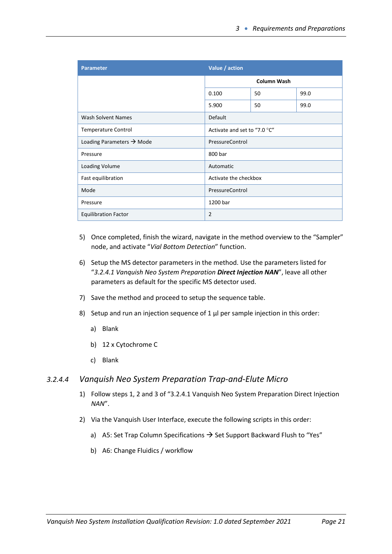| <b>Parameter</b>                      | Value / action               |    |      |
|---------------------------------------|------------------------------|----|------|
|                                       | <b>Column Wash</b>           |    |      |
|                                       | 0.100                        | 50 | 99.0 |
|                                       | 5.900                        | 50 | 99.0 |
| <b>Wash Solvent Names</b>             | Default                      |    |      |
| <b>Temperature Control</b>            | Activate and set to "7.0 °C" |    |      |
| Loading Parameters $\rightarrow$ Mode | PressureControl              |    |      |
| Pressure                              | 800 bar                      |    |      |
| Loading Volume                        | Automatic                    |    |      |
| Fast equilibration                    | Activate the checkbox        |    |      |
| Mode                                  | PressureControl              |    |      |
| Pressure                              | 1200 bar                     |    |      |
| <b>Equilibration Factor</b>           | $\overline{2}$               |    |      |

- 5) Once completed, finish the wizard, navigate in the method overview to the "Sampler" node, and activate "*Vial Bottom Detection*" function.
- 6) Setup the MS detector parameters in the method. Use the parameters listed for "*3.2.4.1 Vanquish Neo System Preparation Direct Injection NAN*", leave all other parameters as default for the specific MS detector used.
- 7) Save the method and proceed to setup the sequence table.
- 8) Setup and run an injection sequence of  $1 \mu$  per sample injection in this order:
	- a) Blank
	- b) 12 x Cytochrome C
	- c) Blank

#### *3.2.4.4 Vanquish Neo System Preparation Trap-and-Elute Micro*

- 1) Follow steps 1, 2 and 3 of "3.2.4.1 Vanquish Neo System Preparation Direct Injection *NAN*".
- 2) Via the Vanquish User Interface, execute the following scripts in this order:
	- a) A5: Set Trap Column Specifications  $\rightarrow$  Set Support Backward Flush to "Yes"
	- b) A6: Change Fluidics / workflow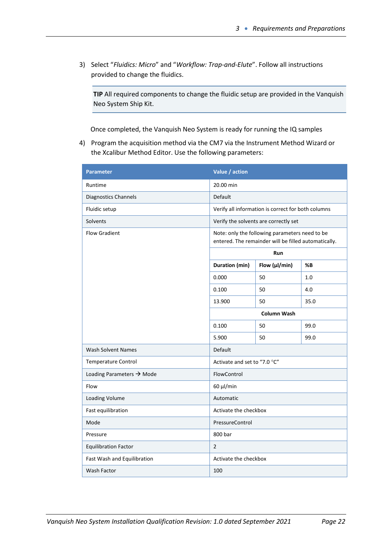3) Select "*Fluidics: Micro*" and "*Workflow: Trap-and-Elute*". Follow all instructions provided to change the fluidics.

**TIP** All required components to change the fluidic setup are provided in the Vanquish Neo System Ship Kit.

Once completed, the Vanquish Neo System is ready for running the IQ samples

4) Program the acquisition method via the CM7 via the Instrument Method Wizard or the Xcalibur Method Editor. Use the following parameters:

| <b>Parameter</b>                      | Value / action                                                                                         |                                                    |      |  |
|---------------------------------------|--------------------------------------------------------------------------------------------------------|----------------------------------------------------|------|--|
| Runtime                               | 20.00 min                                                                                              |                                                    |      |  |
| Diagnostics Channels                  | Default                                                                                                |                                                    |      |  |
| Fluidic setup                         |                                                                                                        | Verify all information is correct for both columns |      |  |
| Solvents                              | Verify the solvents are correctly set                                                                  |                                                    |      |  |
| <b>Flow Gradient</b>                  | Note: only the following parameters need to be<br>entered. The remainder will be filled automatically. |                                                    |      |  |
|                                       |                                                                                                        | Run                                                |      |  |
|                                       | Duration (min)                                                                                         | Flow (µl/min)                                      | %B   |  |
|                                       | 0.000                                                                                                  | 50                                                 | 1.0  |  |
|                                       | 0.100                                                                                                  | 50                                                 | 4.0  |  |
|                                       | 13.900                                                                                                 | 50                                                 | 35.0 |  |
|                                       | <b>Column Wash</b>                                                                                     |                                                    |      |  |
|                                       | 0.100                                                                                                  | 50                                                 | 99.0 |  |
|                                       | 5.900                                                                                                  | 50                                                 | 99.0 |  |
| <b>Wash Solvent Names</b>             | Default                                                                                                |                                                    |      |  |
| Temperature Control                   | Activate and set to "7.0 °C"                                                                           |                                                    |      |  |
| Loading Parameters $\rightarrow$ Mode | FlowControl                                                                                            |                                                    |      |  |
| Flow                                  | $60 \mu$ /min                                                                                          |                                                    |      |  |
| Loading Volume                        | Automatic                                                                                              |                                                    |      |  |
| Fast equilibration                    | Activate the checkbox                                                                                  |                                                    |      |  |
| Mode                                  | PressureControl                                                                                        |                                                    |      |  |
| Pressure                              | 800 bar                                                                                                |                                                    |      |  |
| <b>Equilibration Factor</b>           | $\overline{2}$                                                                                         |                                                    |      |  |
| Fast Wash and Equilibration           | Activate the checkbox                                                                                  |                                                    |      |  |
| Wash Factor                           | 100                                                                                                    |                                                    |      |  |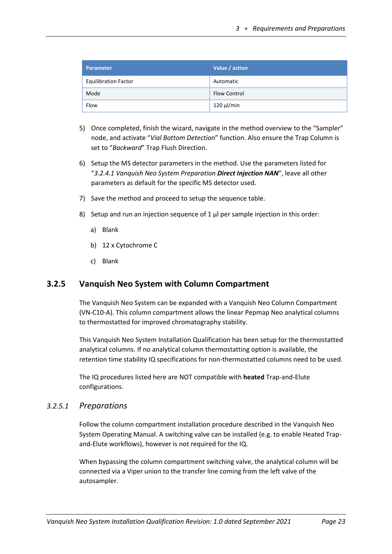| Parameter                   | Value / action      |
|-----------------------------|---------------------|
| <b>Equilibration Factor</b> | Automatic           |
| Mode                        | <b>Flow Control</b> |
| Flow                        | $120 \mu$ /min      |

- 5) Once completed, finish the wizard, navigate in the method overview to the "Sampler" node, and activate "*Vial Bottom Detection*" function. Also ensure the Trap Column is set to "*Backward*" Trap Flush Direction.
- 6) Setup the MS detector parameters in the method. Use the parameters listed for "*3.2.4.1 Vanquish Neo System Preparation Direct Injection NAN*", leave all other parameters as default for the specific MS detector used.
- 7) Save the method and proceed to setup the sequence table.
- 8) Setup and run an injection sequence of  $1 \mu$  per sample injection in this order:
	- a) Blank
	- b) 12 x Cytochrome C
	- c) Blank

## <span id="page-22-0"></span>**3.2.5 Vanquish Neo System with Column Compartment**

The Vanquish Neo System can be expanded with a Vanquish Neo Column Compartment (VN-C10-A). This column compartment allows the linear Pepmap Neo analytical columns to thermostatted for improved chromatography stability.

This Vanquish Neo System Installation Qualification has been setup for the thermostatted analytical columns. If no analytical column thermostatting option is available, the retention time stability IQ specifications for non-thermostatted columns need to be used.

The IQ procedures listed here are NOT compatible with **heated** Trap-and-Elute configurations.

#### *3.2.5.1 Preparations*

Follow the column compartment installation procedure described in the Vanquish Neo System Operating Manual. A switching valve can be installed (e.g. to enable Heated Trapand-Elute workflows), however is not required for the IQ.

When bypassing the column compartment switching valve, the analytical column will be connected via a Viper union to the transfer line coming from the left valve of the autosampler.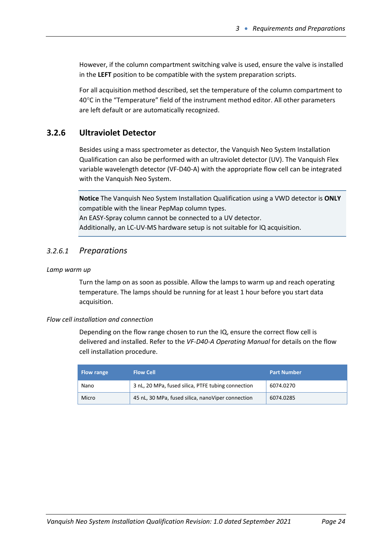However, if the column compartment switching valve is used, ensure the valve is installed in the **LEFT** position to be compatible with the system preparation scripts.

For all acquisition method described, set the temperature of the column compartment to 40°C in the "Temperature" field of the instrument method editor. All other parameters are left default or are automatically recognized.

## <span id="page-23-0"></span>**3.2.6 Ultraviolet Detector**

Besides using a mass spectrometer as detector, the Vanquish Neo System Installation Qualification can also be performed with an ultraviolet detector (UV). The Vanquish Flex variable wavelength detector (VF-D40-A) with the appropriate flow cell can be integrated with the Vanquish Neo System.

**Notice** The Vanquish Neo System Installation Qualification using a VWD detector is **ONLY** compatible with the linear PepMap column types. An EASY-Spray column cannot be connected to a UV detector. Additionally, an LC-UV-MS hardware setup is not suitable for IQ acquisition.

### *3.2.6.1 Preparations*

#### *Lamp warm up*

Turn the lamp on as soon as possible. Allow the lamps to warm up and reach operating temperature. The lamps should be running for at least 1 hour before you start data acquisition.

#### *Flow cell installation and connection*

Depending on the flow range chosen to run the IQ, ensure the correct flow cell is delivered and installed. Refer to the *VF-D40-A Operating Manual* for details on the flow cell installation procedure.

| <b>Flow range</b> | <b>Flow Cell</b>                                   | <b>Part Number</b> |
|-------------------|----------------------------------------------------|--------------------|
| Nano              | 3 nL, 20 MPa, fused silica, PTFE tubing connection | 6074.0270          |
| Micro             | 45 nL, 30 MPa, fused silica, nanoViper connection  | 6074.0285          |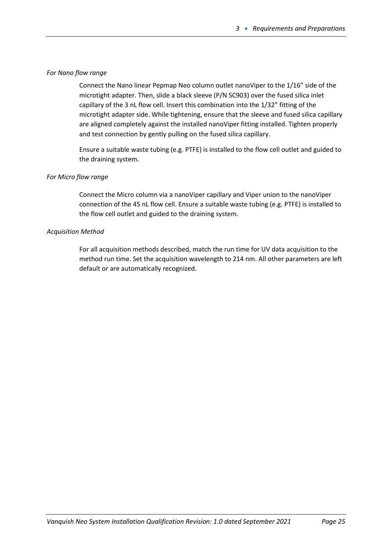#### *For Nano flow range*

Connect the Nano linear Pepmap Neo column outlet nanoViper to the 1/16" side of the microtight adapter. Then, slide a black sleeve (P/N SC903) over the fused silica inlet capillary of the 3 nL flow cell. Insert this combination into the 1/32" fitting of the microtight adapter side. While tightening, ensure that the sleeve and fused silica capillary are aligned completely against the installed nanoViper fitting installed. Tighten properly and test connection by gently pulling on the fused silica capillary.

Ensure a suitable waste tubing (e.g. PTFE) is installed to the flow cell outlet and guided to the draining system.

#### *For Micro flow range*

Connect the Micro column via a nanoViper capillary and Viper union to the nanoViper connection of the 45 nL flow cell. Ensure a suitable waste tubing (e.g. PTFE) is installed to the flow cell outlet and guided to the draining system.

#### *Acquisition Method*

For all acquisition methods described, match the run time for UV data acquisition to the method run time. Set the acquisition wavelength to 214 nm. All other parameters are left default or are automatically recognized.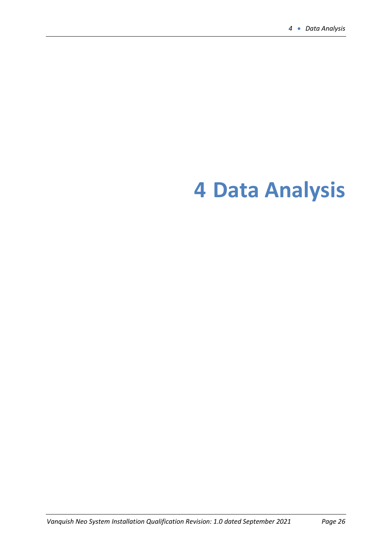# <span id="page-25-0"></span>**Data Analysis**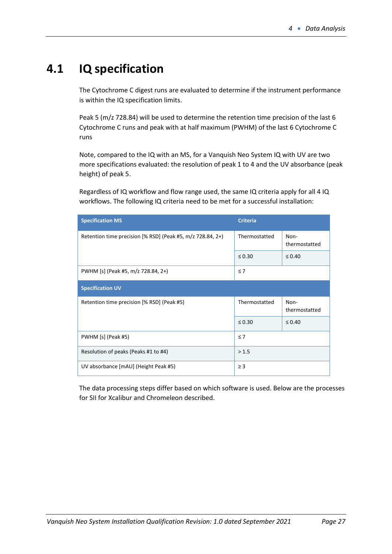# <span id="page-26-0"></span>**4.1 IQ specification**

The Cytochrome C digest runs are evaluated to determine if the instrument performance is within the IQ specification limits.

Peak 5 (m/z 728.84) will be used to determine the retention time precision of the last 6 Cytochrome C runs and peak with at half maximum (PWHM) of the last 6 Cytochrome C runs

Note, compared to the IQ with an MS, for a Vanquish Neo System IQ with UV are two more specifications evaluated: the resolution of peak 1 to 4 and the UV absorbance (peak height) of peak 5.

Regardless of IQ workflow and flow range used, the same IQ criteria apply for all 4 IQ workflows. The following IQ criteria need to be met for a successful installation:

| <b>Specification MS</b>                                    | <b>Criteria</b> |                       |  |
|------------------------------------------------------------|-----------------|-----------------------|--|
| Retention time precision [% RSD] (Peak #5, m/z 728.84, 2+) | Thermostatted   | Non-<br>thermostatted |  |
|                                                            | $\leq 0.30$     | $\leq 0.40$           |  |
| PWHM [s] (Peak #5, m/z 728.84, 2+)                         | $\leq 7$        |                       |  |
| <b>Specification UV</b>                                    |                 |                       |  |
| Retention time precision [% RSD] (Peak #5)                 | Thermostatted   | Non-<br>thermostatted |  |
|                                                            | $\leq 0.30$     | $\leq 0.40$           |  |
| PWHM [s] (Peak #5)                                         | $\leq 7$        |                       |  |
| Resolution of peaks (Peaks #1 to #4)                       | > 1.5           |                       |  |
| UV absorbance [mAU] (Height Peak #5)                       | $\geq$ 3        |                       |  |

The data processing steps differ based on which software is used. Below are the processes for SII for Xcalibur and Chromeleon described.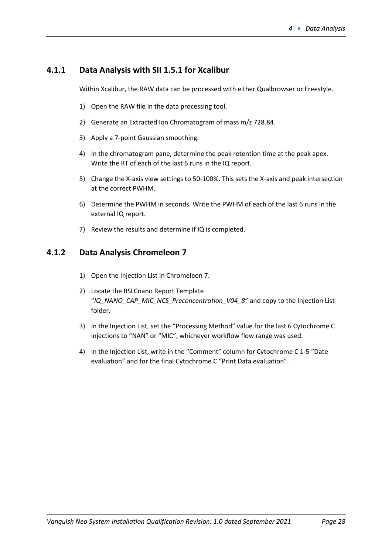## <span id="page-27-0"></span>**4.1.1 Data Analysis with SII 1.5.1 for Xcalibur**

Within Xcalibur, the RAW data can be processed with either Qualbrowser or Freestyle.

- 1) Open the RAW file in the data processing tool.
- 2) Generate an Extracted Ion Chromatogram of mass m/z 728.84.
- 3) Apply a 7-point Gaussian smoothing.
- 4) In the chromatogram pane, determine the peak retention time at the peak apex. Write the RT of each of the last 6 runs in the IQ report.
- 5) Change the X-axis view settings to 50-100%. This sets the X-axis and peak intersection at the correct PWHM.
- 6) Determine the PWHM in seconds. Write the PWHM of each of the last 6 runs in the external IQ report.
- 7) Review the results and determine if IQ is completed.

## <span id="page-27-1"></span>**4.1.2 Data Analysis Chromeleon 7**

- 1) Open the Injection List in Chromeleon 7.
- 2) Locate the RSLCnano Report Template "*IQ\_NANO\_CAP\_MIC\_NCS\_Preconcentration\_V04\_8*" and copy to the Injection List folder.
- 3) In the Injection List, set the "Processing Method" value for the last 6 Cytochrome C injections to "NAN" or "MIC", whichever workflow flow range was used.
- 4) In the Injection List, write in the "Comment" column for Cytochrome C 1-5 "Date evaluation" and for the final Cytochrome C "Print Data evaluation".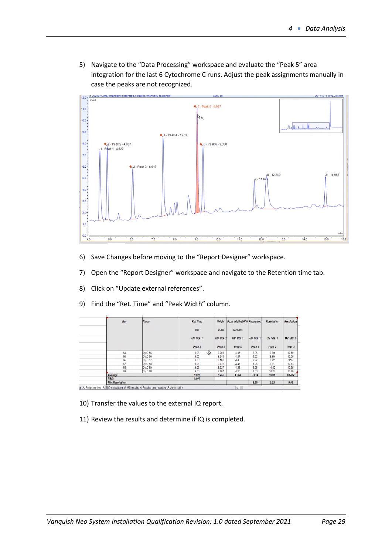5) Navigate to the "Data Processing" workspace and evaluate the "Peak 5" area integration for the last 6 Cytochrome C runs. Adjust the peak assignments manually in case the peaks are not recognized.



- 6) Save Changes before moving to the "Report Designer" workspace.
- 7) Open the "Report Designer" workspace and navigate to the Retention time tab.
- 8) Click on "Update external references".
- 9) Find the "Ret. Time" and "Peak Width" column.

|  | No.                    | Name    | <b>Ret.Time</b>    | Height         | Peak Width (50%) Resolution |                    | <b>Resolution</b>  | <b>Resolution</b>  |
|--|------------------------|---------|--------------------|----------------|-----------------------------|--------------------|--------------------|--------------------|
|  |                        |         | min                | mAU<br>seconds |                             |                    |                    |                    |
|  |                        |         | UV VIS 1<br>Peak 5 | UV_VIS_1       | UV VIS 1<br>Peak 5          | UV VIS 1<br>Peak 1 | UV VIS 1<br>Peak 2 | UV VIS 1<br>Peak 3 |
|  |                        |         |                    | Peak 5         |                             |                    |                    |                    |
|  | 64                     | CytC 55 | 弔<br>9.03          | 9.259          | 4.46                        | 2.95               | 9.99               | 10.69              |
|  | 65                     | CytC 56 | 9.03               | 9.243          | 4.37                        | 3.02               | 9.98               | 10.36              |
|  | 66                     | CytC 57 | 9.03               | 9.163          | 4.43                        | 2.97               | 9.22               | 9.95               |
|  | 67                     | CytC 58 | 9.03               | 9.072          | 4.43                        | 3.06               | 9.91               | 10.83              |
|  | 68                     | CytC 59 | 9.03               | 9.327          | 4.36                        | 3.05               | 10.00              | 10.25              |
|  | 69                     | CytC 60 | 9.03               | 9.467          | 4.25                        | 3.03               | 10.28              | 10.76              |
|  | Average:               |         | 9.027              | 9.255          | 4.384                       | 3.014              | 9.898              | 10.472             |
|  | RSD:                   |         | 0.001              |                |                             |                    |                    |                    |
|  | <b>Min.Resolution:</b> |         |                    |                |                             | 2.95               | 9.22               | 9.95               |

- 10) Transfer the values to the external IQ report.
- 11) Review the results and determine if IQ is completed.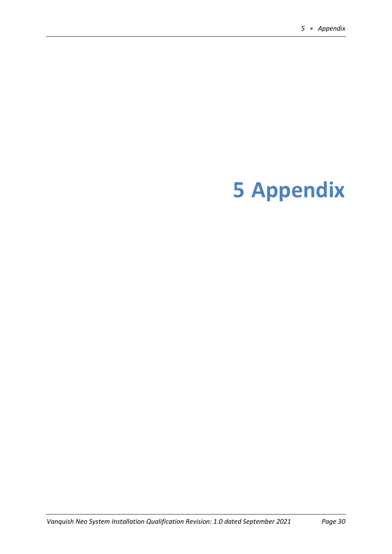# <span id="page-29-0"></span>**Appendix**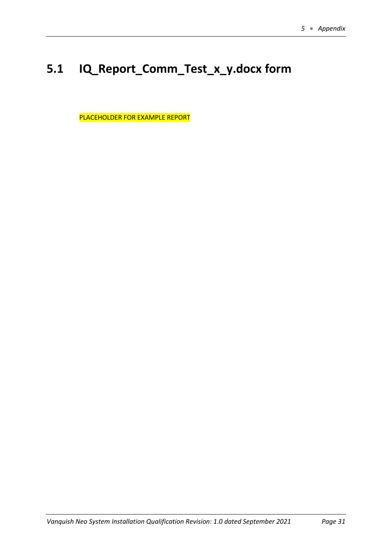# <span id="page-30-0"></span>**5.1 IQ\_Report\_Comm\_Test\_x\_y.docx form**

PLACEHOLDER FOR EXAMPLE REPORT